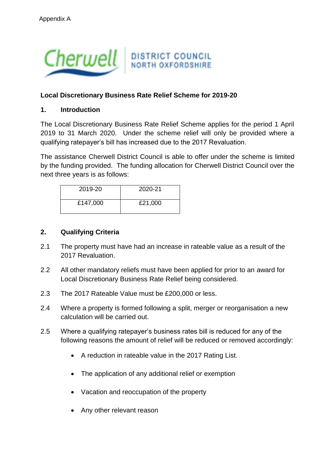

## **Local Discretionary Business Rate Relief Scheme for 2019-20**

### **1. Introduction**

The Local Discretionary Business Rate Relief Scheme applies for the period 1 April 2019 to 31 March 2020. Under the scheme relief will only be provided where a qualifying ratepayer's bill has increased due to the 2017 Revaluation.

The assistance Cherwell District Council is able to offer under the scheme is limited by the funding provided. The funding allocation for Cherwell District Council over the next three years is as follows:

| 2019-20  | 2020-21 |
|----------|---------|
| £147,000 | £21,000 |

#### **2. Qualifying Criteria**

- 2.1 The property must have had an increase in rateable value as a result of the 2017 Revaluation.
- 2.2 All other mandatory reliefs must have been applied for prior to an award for Local Discretionary Business Rate Relief being considered.
- 2.3 The 2017 Rateable Value must be £200,000 or less.
- 2.4 Where a property is formed following a split, merger or reorganisation a new calculation will be carried out.
- 2.5 Where a qualifying ratepayer's business rates bill is reduced for any of the following reasons the amount of relief will be reduced or removed accordingly:
	- A reduction in rateable value in the 2017 Rating List.
	- The application of any additional relief or exemption
	- Vacation and reoccupation of the property
	- Any other relevant reason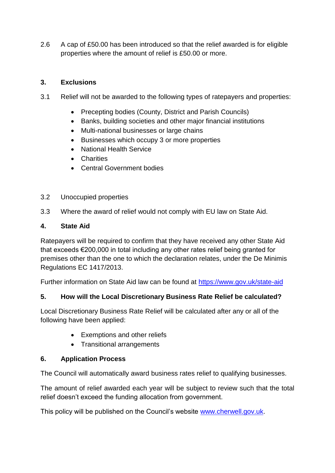2.6 A cap of £50.00 has been introduced so that the relief awarded is for eligible properties where the amount of relief is £50.00 or more.

## **3. Exclusions**

- 3.1 Relief will not be awarded to the following types of ratepayers and properties:
	- Precepting bodies (County, District and Parish Councils)
	- Banks, building societies and other maior financial institutions
	- Multi-national businesses or large chains
	- Businesses which occupy 3 or more properties
	- National Health Service
	- **Charities**
	- Central Government bodies

### 3.2 Unoccupied properties

3.3 Where the award of relief would not comply with EU law on State Aid.

### **4. State Aid**

Ratepayers will be required to confirm that they have received any other State Aid that exceeds €200,000 in total including any other rates relief being granted for premises other than the one to which the declaration relates, under the De Minimis Regulations EC 1417/2013.

Further information on State Aid law can be found at<https://www.gov.uk/state-aid>

### **5. How will the Local Discretionary Business Rate Relief be calculated?**

Local Discretionary Business Rate Relief will be calculated after any or all of the following have been applied:

- Exemptions and other reliefs
- Transitional arrangements

### **6. Application Process**

The Council will automatically award business rates relief to qualifying businesses.

The amount of relief awarded each year will be subject to review such that the total relief doesn't exceed the funding allocation from government.

This policy will be published on the Council's website [www.cherwell.gov.uk.](http://www.cherwell.gov.uk/)